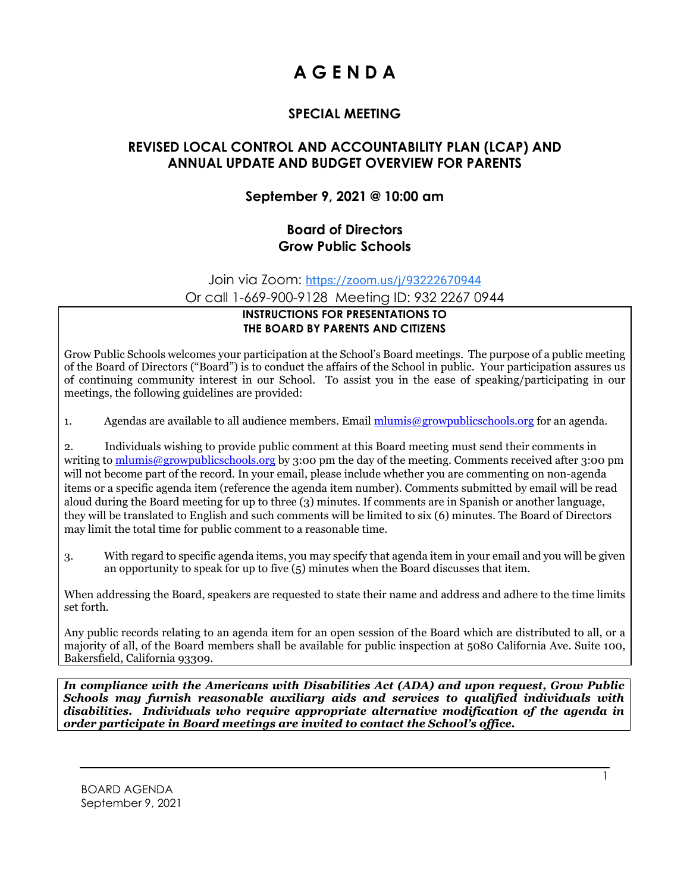# **A G E N D A**

# **SPECIAL MEETING**

## **REVISED LOCAL CONTROL AND ACCOUNTABILITY PLAN (LCAP) AND ANNUAL UPDATE AND BUDGET OVERVIEW FOR PARENTS**

# **September 9, 2021 @ 10:00 am**

## **Board of Directors Grow Public Schools**

Join via Zoom: [https://zoom.us/j/93222670944](https://www.google.com/url?q=https://zoom.us/j/93222670944&sa=D&source=calendar&ust=1631130302671310&usg=AOvVaw3dcF1EDhwjqBxvuqWcRYtD)

Or call 1-669-900-9128 Meeting ID: 932 2267 0944

#### **INSTRUCTIONS FOR PRESENTATIONS TO THE BOARD BY PARENTS AND CITIZENS**

Grow Public Schools welcomes your participation at the School's Board meetings. The purpose of a public meeting of the Board of Directors ("Board") is to conduct the affairs of the School in public. Your participation assures us of continuing community interest in our School. To assist you in the ease of speaking/participating in our meetings, the following guidelines are provided:

1. Agendas are available to all audience members. Email [mlumis@growpublicschools.org](mailto:mlumis@growpublicschools.org) for an agenda.

2. Individuals wishing to provide public comment at this Board meeting must send their comments in writing to [mlumis@growpublicschools.org](mailto:mlumis@growpublicschools.org) by 3:00 pm the day of the meeting. Comments received after 3:00 pm will not become part of the record. In your email, please include whether you are commenting on non-agenda items or a specific agenda item (reference the agenda item number). Comments submitted by email will be read aloud during the Board meeting for up to three (3) minutes. If comments are in Spanish or another language, they will be translated to English and such comments will be limited to six (6) minutes. The Board of Directors may limit the total time for public comment to a reasonable time.

3. With regard to specific agenda items, you may specify that agenda item in your email and you will be given an opportunity to speak for up to five (5) minutes when the Board discusses that item.

When addressing the Board, speakers are requested to state their name and address and adhere to the time limits set forth.

Any public records relating to an agenda item for an open session of the Board which are distributed to all, or a majority of all, of the Board members shall be available for public inspection at 5080 California Ave. Suite 100, Bakersfield, California 93309.

*In compliance with the Americans with Disabilities Act (ADA) and upon request, Grow Public Schools may furnish reasonable auxiliary aids and services to qualified individuals with disabilities. Individuals who require appropriate alternative modification of the agenda in order participate in Board meetings are invited to contact the School's office.*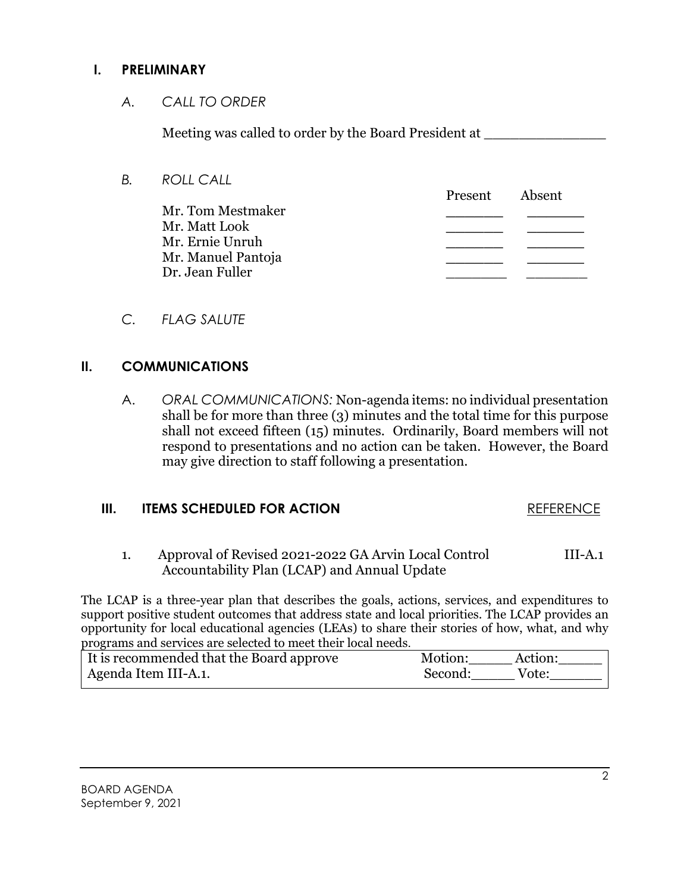#### **I. PRELIMINARY**

*A. CALL TO ORDER*

Meeting was called to order by the Board President at

*B. ROLL CALL*

Present Absent Mr. Tom Mestmaker **\_\_\_\_\_\_ \_\_\_\_\_\_** Mr. Matt Look **\_\_\_\_\_\_ \_\_\_\_\_\_** Mr. Ernie Unruh **\_\_\_\_\_\_ \_\_\_\_\_\_** Mr. Manuel Pantoja **\_\_\_\_\_\_ \_\_\_\_\_\_** Dr. Jean Fuller \_\_\_\_\_\_\_ \_\_\_\_\_\_\_

*C. FLAG SALUTE*

# **II. COMMUNICATIONS**

A. *ORAL COMMUNICATIONS:* Non-agenda items: no individual presentation shall be for more than three (3) minutes and the total time for this purpose shall not exceed fifteen (15) minutes. Ordinarily, Board members will not respond to presentations and no action can be taken. However, the Board may give direction to staff following a presentation.

#### **III. ITEMS SCHEDULED FOR ACTION REFERENCE**

1. Approval of Revised 2021-2022 GA Arvin Local Control III-A.1 Accountability Plan (LCAP) and Annual Update

The LCAP is a three-year plan that describes the goals, actions, services, and expenditures to support positive student outcomes that address state and local priorities. The LCAP provides an opportunity for local educational agencies (LEAs) to share their stories of how, what, and why programs and services are selected to meet their local needs.

| It is recommended that the Board approve | Motion:<br>Action: |
|------------------------------------------|--------------------|
| Agenda Item III-A.1.                     | Second:<br>Vote:   |